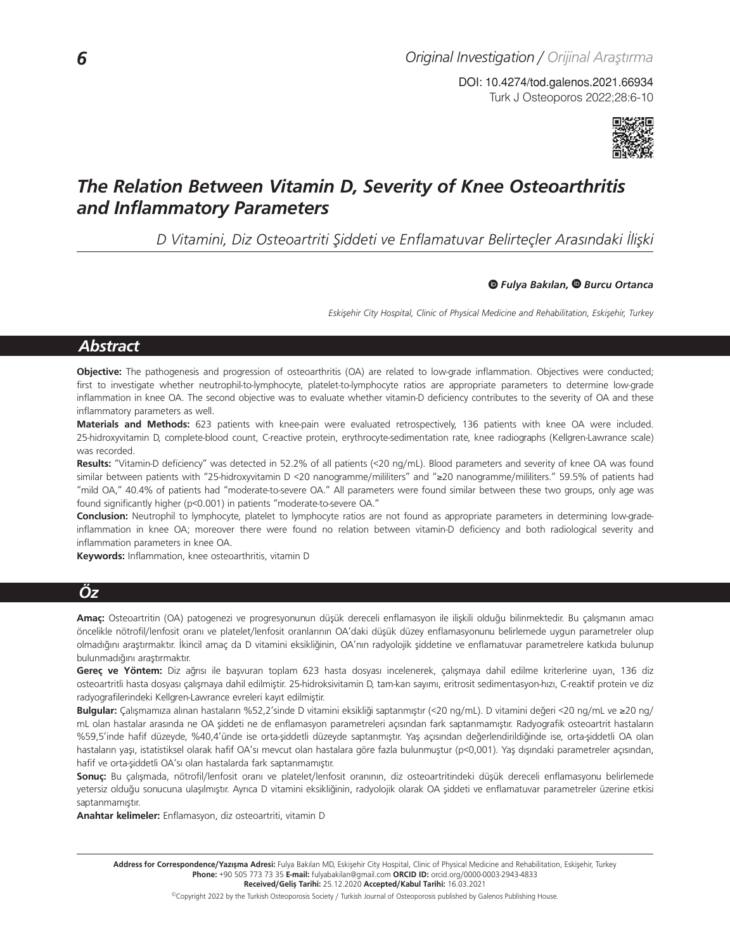Turk J Osteoporos 2022;28:6-10 DOI: 10.4274/tod.galenos.2021.66934



# *The Relation Between Vitamin D, Severity of Knee Osteoarthritis and Inflammatory Parameters*

*D Vitamini, Diz Osteoartriti Şiddeti ve Enflamatuvar Belirteçler Arasındaki İlişki*

#### *Fulya Bakılan, Burcu Ortanca*

*Eskişehir City Hospital, Clinic of Physical Medicine and Rehabilitation, Eskişehir, Turkey*

# *Abstract*

**Objective:** The pathogenesis and progression of osteoarthritis (OA) are related to low-grade inflammation. Objectives were conducted; first to investigate whether neutrophil-to-lymphocyte, platelet-to-lymphocyte ratios are appropriate parameters to determine low-grade inflammation in knee OA. The second objective was to evaluate whether vitamin-D deficiency contributes to the severity of OA and these inflammatory parameters as well.

**Materials and Methods:** 623 patients with knee-pain were evaluated retrospectively, 136 patients with knee OA were included. 25-hidroxyvitamin D, complete-blood count, C-reactive protein, erythrocyte-sedimentation rate, knee radiographs (Kellgren-Lawrance scale) was recorded.

**Results:** "Vitamin-D deficiency" was detected in 52.2% of all patients (<20 ng/mL). Blood parameters and severity of knee OA was found similar between patients with "25-hidroxyvitamin D <20 nanogramme/mililiters" and "≥20 nanogramme/mililiters." 59.5% of patients had "mild OA," 40.4% of patients had "moderate-to-severe OA." All parameters were found similar between these two groups, only age was found significantly higher (p<0.001) in patients "moderate-to-severe OA."

**Conclusion:** Neutrophil to lymphocyte, platelet to lymphocyte ratios are not found as appropriate parameters in determining low-gradeinflammation in knee OA; moreover there were found no relation between vitamin-D deficiency and both radiological severity and inflammation parameters in knee OA.

**Keywords:** Inflammation, knee osteoarthritis, vitamin D

# *Öz*

**Amaç:** Osteoartritin (OA) patogenezi ve progresyonunun düşük dereceli enflamasyon ile ilişkili olduğu bilinmektedir. Bu çalışmanın amacı öncelikle nötrofil/lenfosit oranı ve platelet/lenfosit oranlarının OA'daki düşük düzey enflamasyonunu belirlemede uygun parametreler olup olmadığını araştırmaktır. İkincil amaç da D vitamini eksikliğinin, OA'nın radyolojik şiddetine ve enflamatuvar parametrelere katkıda bulunup bulunmadığını araştırmaktır.

**Gereç ve Yöntem:** Diz ağrısı ile başvuran toplam 623 hasta dosyası incelenerek, çalışmaya dahil edilme kriterlerine uyan, 136 diz osteoartritli hasta dosyası çalışmaya dahil edilmiştir. 25-hidroksivitamin D, tam-kan sayımı, eritrosit sedimentasyon-hızı, C-reaktif protein ve diz radyografilerindeki Kellgren-Lawrance evreleri kayıt edilmiştir.

**Bulgular:** Çalışmamıza alınan hastaların %52,2'sinde D vitamini eksikliği saptanmıştır (<20 ng/mL). D vitamini değeri <20 ng/mL ve ≥20 ng/ mL olan hastalar arasında ne OA şiddeti ne de enflamasyon parametreleri açısından fark saptanmamıştır. Radyografik osteoartrit hastaların %59,5'inde hafif düzeyde, %40,4'ünde ise orta-şiddetli düzeyde saptanmıştır. Yaş açısından değerlendirildiğinde ise, orta-şiddetli OA olan hastaların yaşı, istatistiksel olarak hafif OA'sı mevcut olan hastalara göre fazla bulunmuştur (p<0,001). Yaş dışındaki parametreler açısından, hafif ve orta-şiddetli OA'sı olan hastalarda fark saptanmamıştır.

**Sonuç:** Bu çalışmada, nötrofil/lenfosit oranı ve platelet/lenfosit oranının, diz osteoartritindeki düşük dereceli enflamasyonu belirlemede yetersiz olduğu sonucuna ulaşılmıştır. Ayrıca D vitamini eksikliğinin, radyolojik olarak OA şiddeti ve enflamatuvar parametreler üzerine etkisi saptanmamıştır.

**Anahtar kelimeler:** Enflamasyon, diz osteoartriti, vitamin D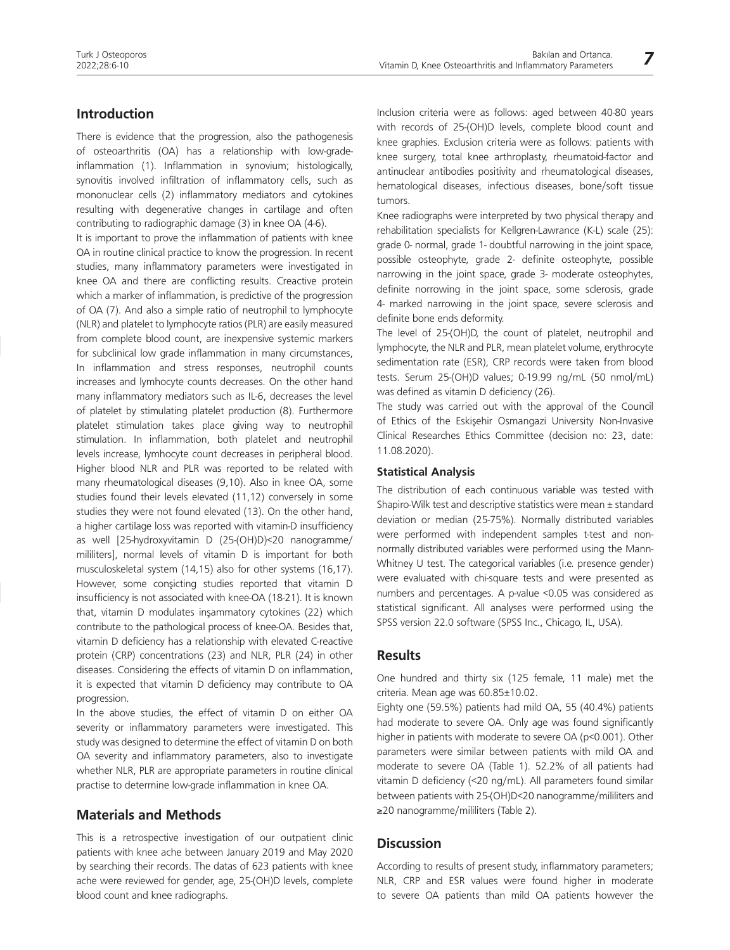### **Introduction**

There is evidence that the progression, also the pathogenesis of osteoarthritis (OA) has a relationship with low-gradeinflammation (1). Inflammation in synovium; histologically, synovitis involved infiltration of inflammatory cells, such as mononuclear cells (2) inflammatory mediators and cytokines resulting with degenerative changes in cartilage and often contributing to radiographic damage (3) in knee OA (4-6).

It is important to prove the inflammation of patients with knee OA in routine clinical practice to know the progression. In recent studies, many inflammatory parameters were investigated in knee OA and there are conflicting results. Creactive protein which a marker of inflammation, is predictive of the progression of OA (7). And also a simple ratio of neutrophil to lymphocyte (NLR) and platelet to lymphocyte ratios (PLR) are easily measured from complete blood count, are inexpensive systemic markers for subclinical low grade inflammation in many circumstances, In inflammation and stress responses, neutrophil counts increases and lymhocyte counts decreases. On the other hand many inflammatory mediators such as IL-6, decreases the level of platelet by stimulating platelet production (8). Furthermore platelet stimulation takes place giving way to neutrophil stimulation. In inflammation, both platelet and neutrophil levels increase, lymhocyte count decreases in peripheral blood. Higher blood NLR and PLR was reported to be related with many rheumatological diseases (9,10). Also in knee OA, some studies found their levels elevated (11,12) conversely in some studies they were not found elevated (13). On the other hand, a higher cartilage loss was reported with vitamin-D insufficiency as well [25-hydroxyvitamin D (25-(OH)D)<20 nanogramme/ mililiters], normal levels of vitamin D is important for both musculoskeletal system (14,15) also for other systems (16,17). However, some consicting studies reported that vitamin D insufficiency is not associated with knee-OA (18-21). It is known that, vitamin D modulates insammatory cytokines (22) which contribute to the pathological process of knee-OA. Besides that, vitamin D deficiency has a relationship with elevated C-reactive protein (CRP) concentrations (23) and NLR, PLR (24) in other diseases. Considering the effects of vitamin D on inflammation, it is expected that vitamin D deficiency may contribute to OA progression.

In the above studies, the effect of vitamin D on either OA severity or inflammatory parameters were investigated. This study was designed to determine the effect of vitamin D on both OA severity and inflammatory parameters, also to investigate whether NLR, PLR are appropriate parameters in routine clinical practise to determine low-grade inflammation in knee OA.

### **Materials and Methods**

This is a retrospective investigation of our outpatient clinic patients with knee ache between January 2019 and May 2020 by searching their records. The datas of 623 patients with knee ache were reviewed for gender, age, 25-(OH)D levels, complete blood count and knee radiographs.

Inclusion criteria were as follows: aged between 40-80 years with records of 25-(OH)D levels, complete blood count and knee graphies. Exclusion criteria were as follows: patients with knee surgery, total knee arthroplasty, rheumatoid-factor and antinuclear antibodies positivity and rheumatological diseases, hematological diseases, infectious diseases, bone/soft tissue tumors.

Knee radiographs were interpreted by two physical therapy and rehabilitation specialists for Kellgren-Lawrance (K-L) scale (25): grade 0- normal, grade 1- doubtful narrowing in the joint space, possible osteophyte, grade 2- definite osteophyte, possible narrowing in the joint space, grade 3- moderate osteophytes, definite norrowing in the joint space, some sclerosis, grade 4- marked narrowing in the joint space, severe sclerosis and definite bone ends deformity.

The level of 25-(OH)D, the count of platelet, neutrophil and lymphocyte, the NLR and PLR, mean platelet volume, erythrocyte sedimentation rate (ESR), CRP records were taken from blood tests. Serum 25-(OH)D values; 0-19.99 ng/mL (50 nmol/mL) was defined as vitamin D deficiency (26).

The study was carried out with the approval of the Council of Ethics of the Eskişehir Osmangazi University Non-Invasive Clinical Researches Ethics Committee (decision no: 23, date: 11.08.2020).

#### **Statistical Analysis**

The distribution of each continuous variable was tested with Shapiro-Wilk test and descriptive statistics were mean ± standard deviation or median (25-75%). Normally distributed variables were performed with independent samples t-test and nonnormally distributed variables were performed using the Mann-Whitney U test. The categorical variables (i.e. presence gender) were evaluated with chi-square tests and were presented as numbers and percentages. A p-value <0.05 was considered as statistical significant. All analyses were performed using the SPSS version 22.0 software (SPSS Inc., Chicago, IL, USA).

#### **Results**

One hundred and thirty six (125 female, 11 male) met the criteria. Mean age was 60.85±10.02.

Eighty one (59.5%) patients had mild OA, 55 (40.4%) patients had moderate to severe OA. Only age was found significantly higher in patients with moderate to severe OA (p<0.001). Other parameters were similar between patients with mild OA and moderate to severe OA (Table 1). 52.2% of all patients had vitamin D deficiency (<20 ng/mL). All parameters found similar between patients with 25-(OH)D<20 nanogramme/mililiters and ≥20 nanogramme/mililiters (Table 2).

#### **Discussion**

According to results of present study, inflammatory parameters; NLR, CRP and ESR values were found higher in moderate to severe OA patients than mild OA patients however the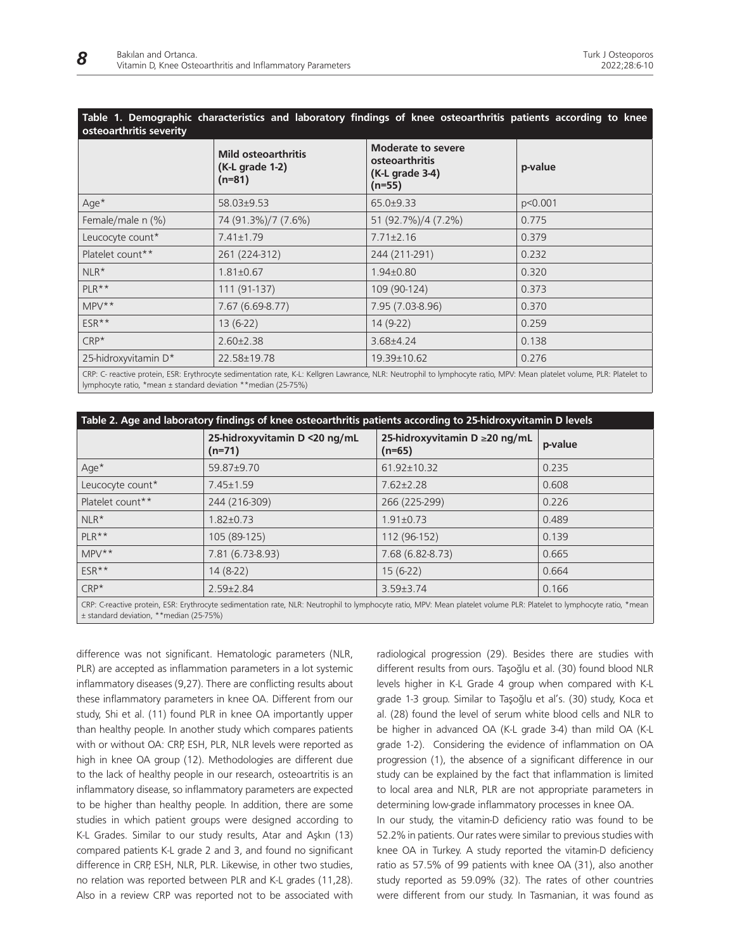# **Table 1. Demographic characteristics and laboratory findings of knee osteoarthritis patients according to knee osteoarthritis severity**

|                                                                                                                                                                                                                                                                                                                                                | <b>Mild osteoarthritis</b><br>(K-L grade 1-2)<br>$(n=81)$ | <b>Moderate to severe</b><br>osteoarthritis<br>(K-L grade 3-4)<br>$(n=55)$ | p-value |
|------------------------------------------------------------------------------------------------------------------------------------------------------------------------------------------------------------------------------------------------------------------------------------------------------------------------------------------------|-----------------------------------------------------------|----------------------------------------------------------------------------|---------|
| $Age*$                                                                                                                                                                                                                                                                                                                                         | 58.03±9.53                                                | $65.0+9.33$                                                                | p<0.001 |
| Female/male n (%)                                                                                                                                                                                                                                                                                                                              | 74 (91.3%)/7 (7.6%)                                       | 51 (92.7%)/4 (7.2%)                                                        | 0.775   |
| Leucocyte count*                                                                                                                                                                                                                                                                                                                               | $7.41 \pm 1.79$                                           | $7.71 \pm 2.16$                                                            | 0.379   |
| Platelet count**                                                                                                                                                                                                                                                                                                                               | 261 (224-312)                                             | 244 (211-291)                                                              | 0.232   |
| $NLR^*$                                                                                                                                                                                                                                                                                                                                        | $1.81 \pm 0.67$                                           | $1.94 \pm 0.80$                                                            | 0.320   |
| $PLR***$                                                                                                                                                                                                                                                                                                                                       | 111 (91-137)                                              | 109 (90-124)                                                               | 0.373   |
| $MPV**$                                                                                                                                                                                                                                                                                                                                        | $7.67(6.69-8.77)$                                         | 7.95 (7.03-8.96)                                                           | 0.370   |
| ESR**                                                                                                                                                                                                                                                                                                                                          | $13(6-22)$                                                | $14(9-22)$                                                                 | 0.259   |
| $CRP*$                                                                                                                                                                                                                                                                                                                                         | $2.60 \pm 2.38$                                           | $3.68{\pm}4.24$                                                            | 0.138   |
| 25-hidroxyvitamin D*                                                                                                                                                                                                                                                                                                                           | 22.58±19.78                                               | 19.39±10.62                                                                | 0.276   |
| $\overline{C}$ , and $\overline{C}$ , and $\overline{C}$ , and $\overline{C}$ , $\overline{C}$ , $\overline{C}$ , $\overline{C}$ , $\overline{C}$ , $\overline{C}$ , $\overline{C}$ , $\overline{C}$ , $\overline{C}$ , $\overline{C}$ , $\overline{C}$ , $\overline{C}$ , $\overline{C}$ , $\overline{C}$ , $\overline{C}$ , $\overline{C}$ , |                                                           |                                                                            |         |

CRP: C- reactive protein, ESR: Erythrocyte sedimentation rate, K-L: Kellgren Lawrance, NLR: Neutrophil to lymphocyte ratio, MPV: Mean platelet volume, PLR: Platelet to lymphocyte ratio, \*mean ± standard deviation \*\*median (25-75%)

| Table 2. Age and laboratory findings of knee osteoarthritis patients according to 25-hidroxyvitamin D levels                                                                                                      |                                           |                                           |         |  |
|-------------------------------------------------------------------------------------------------------------------------------------------------------------------------------------------------------------------|-------------------------------------------|-------------------------------------------|---------|--|
|                                                                                                                                                                                                                   | 25-hidroxyvitamin D <20 ng/mL<br>$(n=71)$ | 25-hidroxyvitamin D ≥20 ng/mL<br>$(n=65)$ | p-value |  |
| $Age*$                                                                                                                                                                                                            | 59.87±9.70                                | 61.92±10.32                               | 0.235   |  |
| Leucocyte count*                                                                                                                                                                                                  | $7.45 \pm 1.59$                           | $7.62 \pm 2.28$                           | 0.608   |  |
| Platelet count**                                                                                                                                                                                                  | 244 (216-309)                             | 266 (225-299)                             | 0.226   |  |
| $NLR*$                                                                                                                                                                                                            | $1.82 \pm 0.73$                           | $1.91 \pm 0.73$                           | 0.489   |  |
| $PLR***$                                                                                                                                                                                                          | 105 (89-125)                              | 112 (96-152)                              | 0.139   |  |
| $MPV**$                                                                                                                                                                                                           | 7.81 (6.73-8.93)                          | 7.68 (6.82-8.73)                          | 0.665   |  |
| ESR**                                                                                                                                                                                                             | $14(8-22)$                                | $15(6-22)$                                | 0.664   |  |
| $CRP*$                                                                                                                                                                                                            | $2.59 \pm 2.84$                           | $3.59 \pm 3.74$                           | 0.166   |  |
| CRP: C-reactive protein, ESR: Erythrocyte sedimentation rate, NLR: Neutrophil to lymphocyte ratio, MPV: Mean platelet volume PLR: Platelet to lymphocyte ratio, *mean<br>± standard deviation, ** median (25-75%) |                                           |                                           |         |  |

difference was not significant. Hematologic parameters (NLR, PLR) are accepted as inflammation parameters in a lot systemic inflammatory diseases (9,27). There are conflicting results about these inflammatory parameters in knee OA. Different from our study, Shi et al. (11) found PLR in knee OA importantly upper than healthy people. In another study which compares patients with or without OA: CRP, ESH, PLR, NLR levels were reported as high in knee OA group (12). Methodologies are different due to the lack of healthy people in our research, osteoartritis is an inflammatory disease, so inflammatory parameters are expected to be higher than healthy people. In addition, there are some studies in which patient groups were designed according to K-L Grades. Similar to our study results, Atar and Aşkın (13) compared patients K-L grade 2 and 3, and found no significant difference in CRP, ESH, NLR, PLR. Likewise, in other two studies, no relation was reported between PLR and K-L grades (11,28). Also in a review CRP was reported not to be associated with

radiological progression (29). Besides there are studies with different results from ours. Taşoğlu et al. (30) found blood NLR levels higher in K-L Grade 4 group when compared with K-L grade 1-3 group. Similar to Taşoğlu et al's. (30) study, Koca et al. (28) found the level of serum white blood cells and NLR to be higher in advanced OA (K-L grade 3-4) than mild OA (K-L grade 1-2). Considering the evidence of inflammation on OA progression (1), the absence of a significant difference in our study can be explained by the fact that inflammation is limited to local area and NLR, PLR are not appropriate parameters in determining low-grade inflammatory processes in knee OA.

In our study, the vitamin-D deficiency ratio was found to be 52.2% in patients. Our rates were similar to previous studies with knee OA in Turkey. A study reported the vitamin-D deficiency ratio as 57.5% of 99 patients with knee OA (31), also another study reported as 59.09% (32). The rates of other countries were different from our study. In Tasmanian, it was found as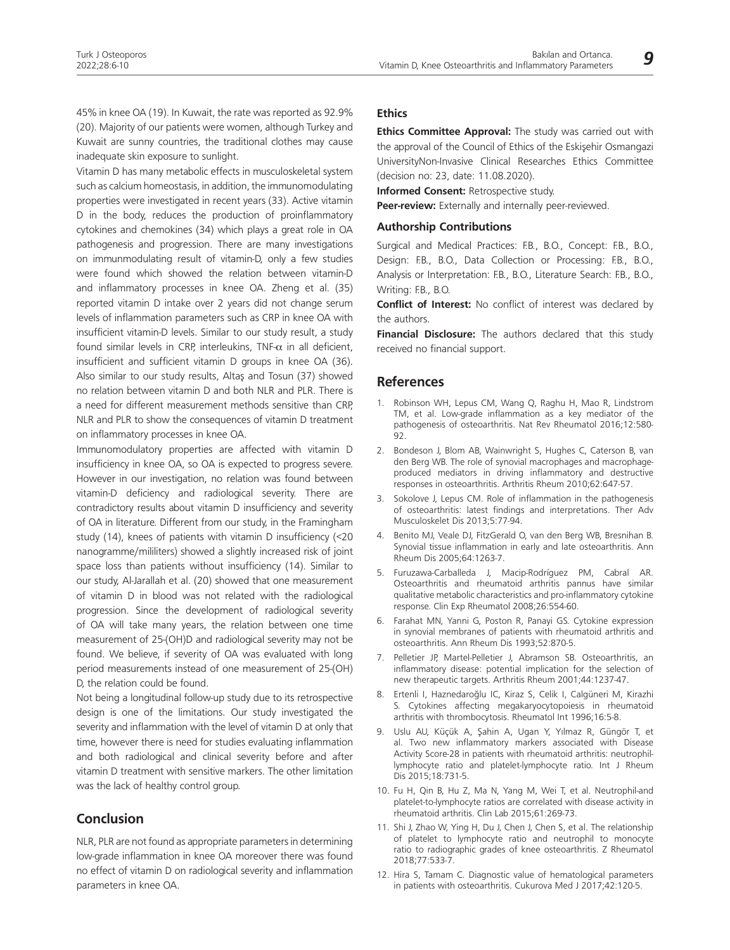45% in knee OA (19). In Kuwait, the rate was reported as 92.9% (20). Majority of our patients were women, although Turkey and Kuwait are sunny countries, the traditional clothes may cause inadequate skin exposure to sunlight.

Vitamin D has many metabolic effects in musculoskeletal system such as calcium homeostasis, in addition, the immunomodulating properties were investigated in recent years (33). Active vitamin D in the body, reduces the production of proinflammatory cytokines and chemokines (34) which plays a great role in OA pathogenesis and progression. There are many investigations on immunmodulating result of vitamin-D, only a few studies were found which showed the relation between vitamin-D and inflammatory processes in knee OA. Zheng et al. (35) reported vitamin D intake over 2 years did not change serum levels of inflammation parameters such as CRP in knee OA with insufficient vitamin-D levels. Similar to our study result, a study found similar levels in CRP, interleukins, TNF- $\alpha$  in all deficient, insufficient and sufficient vitamin D groups in knee OA (36). Also similar to our study results, Altaş and Tosun (37) showed no relation between vitamin D and both NLR and PLR. There is a need for different measurement methods sensitive than CRP, NLR and PLR to show the consequences of vitamin D treatment on inflammatory processes in knee OA.

Immunomodulatory properties are affected with vitamin D insufficiency in knee OA, so OA is expected to progress severe. However in our investigation, no relation was found between vitamin-D deficiency and radiological severity. There are contradictory results about vitamin D insufficiency and severity of OA in literature. Different from our study, in the Framingham study (14), knees of patients with vitamin D insufficiency (<20 nanogramme/mililiters) showed a slightly increased risk of joint space loss than patients without insufficiency (14). Similar to our study, Al-Jarallah et al. (20) showed that one measurement of vitamin D in blood was not related with the radiological progression. Since the development of radiological severity of OA will take many years, the relation between one time measurement of 25-(OH)D and radiological severity may not be found. We believe, if severity of OA was evaluated with long period measurements instead of one measurement of 25-(OH) D, the relation could be found.

Not being a longitudinal follow-up study due to its retrospective design is one of the limitations. Our study investigated the severity and inflammation with the level of vitamin D at only that time, however there is need for studies evaluating inflammation and both radiological and clinical severity before and after vitamin D treatment with sensitive markers. The other limitation was the lack of healthy control group.

# **Conclusion**

NLR, PLR are not found as appropriate parameters in determining low-grade inflammation in knee OA moreover there was found no effect of vitamin D on radiological severity and inflammation parameters in knee OA.

#### **Ethics**

**Ethics Committee Approval:** The study was carried out with the approval of the Council of Ethics of the Eskişehir Osmangazi UniversityNon-Invasive Clinical Researches Ethics Committee (decision no: 23, date: 11.08.2020).

**Informed Consent:** Retrospective study.

**Peer-review:** Externally and internally peer-reviewed.

#### **Authorship Contributions**

Surgical and Medical Practices: F.B., B.O., Concept: F.B., B.O., Design: F.B., B.O., Data Collection or Processing: F.B., B.O., Analysis or Interpretation: F.B., B.O., Literature Search: F.B., B.O., Writing: F.B., B.O.

**Conflict of Interest:** No conflict of interest was declared by the authors.

**Financial Disclosure:** The authors declared that this study received no financial support.

#### **References**

- 1. Robinson WH, Lepus CM, Wang Q, Raghu H, Mao R, Lindstrom TM, et al. Low-grade inflammation as a key mediator of the pathogenesis of osteoarthritis. Nat Rev Rheumatol 2016;12:580- 92.
- 2. Bondeson J, Blom AB, Wainwright S, Hughes C, Caterson B, van den Berg WB. The role of synovial macrophages and macrophageproduced mediators in driving inflammatory and destructive responses in osteoarthritis. Arthritis Rheum 2010;62:647-57.
- 3. Sokolove J, Lepus CM. Role of inflammation in the pathogenesis of osteoarthritis: latest findings and interpretations. Ther Adv Musculoskelet Dis 2013;5:77-94.
- 4. Benito MJ, Veale DJ, FitzGerald O, van den Berg WB, Bresnihan B. Synovial tissue inflammation in early and late osteoarthritis. Ann Rheum Dis 2005;64:1263-7.
- 5. Furuzawa-Carballeda J, Macip-Rodríguez PM, Cabral AR. Osteoarthritis and rheumatoid arthritis pannus have similar qualitative metabolic characteristics and pro-inflammatory cytokine response. Clin Exp Rheumatol 2008;26:554-60.
- 6. Farahat MN, Yanni G, Poston R, Panayi GS. Cytokine expression in synovial membranes of patients with rheumatoid arthritis and osteoarthritis. Ann Rheum Dis 1993;52:870-5.
- 7. Pelletier JP, Martel-Pelletier J, Abramson SB. Osteoarthritis, an inflammatory disease: potential implication for the selection of new therapeutic targets. Arthritis Rheum 2001;44:1237-47.
- 8. Ertenli I, Haznedaroğlu IC, Kiraz S, Celik I, Calgüneri M, Kirazhi S. Cytokines affecting megakaryocytopoiesis in rheumatoid arthritis with thrombocytosis. Rheumatol Int 1996;16:5-8.
- 9. Uslu AU, Küçük A, Şahin A, Ugan Y, Yılmaz R, Güngör T, et al. Two new inflammatory markers associated with Disease Activity Score-28 in patients with rheumatoid arthritis: neutrophillymphocyte ratio and platelet-lymphocyte ratio. Int J Rheum Dis 2015;18:731-5.
- 10. Fu H, Qin B, Hu Z, Ma N, Yang M, Wei T, et al. Neutrophil-and platelet-to-lymphocyte ratios are correlated with disease activity in rheumatoid arthritis. Clin Lab 2015;61:269-73.
- 11. Shi J, Zhao W, Ying H, Du J, Chen J, Chen S, et al. The relationship of platelet to lymphocyte ratio and neutrophil to monocyte ratio to radiographic grades of knee osteoarthritis. Z Rheumatol 2018;77:533-7.
- 12. Hira S, Tamam C. Diagnostic value of hematological parameters in patients with osteoarthritis. Cukurova Med J 2017;42:120-5.